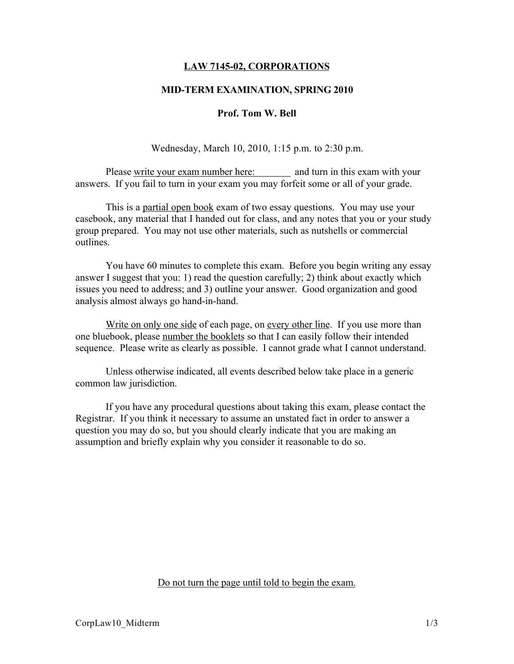# LAW 7145-02, CORPORATIONS

## MID-TERM EXAMINATION, SPRING 2010

#### Prof. Tom W. Bell

Wednesday, March 10, 2010, 1:15 p.m. to 2:30 p.m.

Please write your exam number here: and turn in this exam with your answers. If you fail to turn in your exam you may forfeit some or all of your grade.

This is a partial open book exam of two essay questions. You may use your casebook, any material that I handed out for class, and any notes that you or your study group prepared. You may not use other materials, such as nutshells or commercial outlines.

You have 60 minutes to complete this exam. Before you begin writing any essay answer I suggest that you: 1) read the question carefully; 2) think about exactly which issues you need to address; and 3) outline your answer. Good organization and good analysis almost always go hand-in-hand.

Write on only one side of each page, on every other line. If you use more than one bluebook, please number the booklets so that I can easily follow their intended sequence. Please write as clearly as possible. I cannot grade what I cannot understand.

Unless otherwise indicated, all events described below take place in a generic common law jurisdiction.

If you have any procedural questions about taking this exam, please contact the Registrar. If you think it necessary to assume an unstated fact in order to answer a question you may do so, but you should clearly indicate that you are making an assumption and briefly explain why you consider it reasonable to do so.

Do not turn the page until told to begin the exam.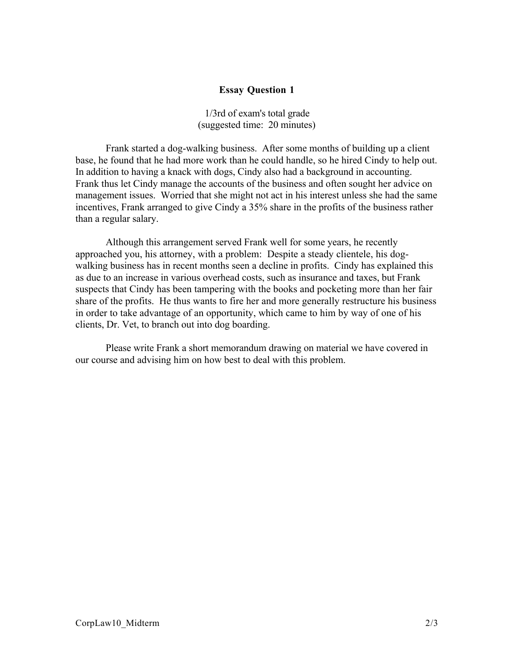# Essay Question 1

1/3rd of exam's total grade (suggested time: 20 minutes)

Frank started a dog-walking business. After some months of building up a client base, he found that he had more work than he could handle, so he hired Cindy to help out. In addition to having a knack with dogs, Cindy also had a background in accounting. Frank thus let Cindy manage the accounts of the business and often sought her advice on management issues. Worried that she might not act in his interest unless she had the same incentives, Frank arranged to give Cindy a 35% share in the profits of the business rather than a regular salary.

Although this arrangement served Frank well for some years, he recently approached you, his attorney, with a problem: Despite a steady clientele, his dogwalking business has in recent months seen a decline in profits. Cindy has explained this as due to an increase in various overhead costs, such as insurance and taxes, but Frank suspects that Cindy has been tampering with the books and pocketing more than her fair share of the profits. He thus wants to fire her and more generally restructure his business in order to take advantage of an opportunity, which came to him by way of one of his clients, Dr. Vet, to branch out into dog boarding.

Please write Frank a short memorandum drawing on material we have covered in our course and advising him on how best to deal with this problem.